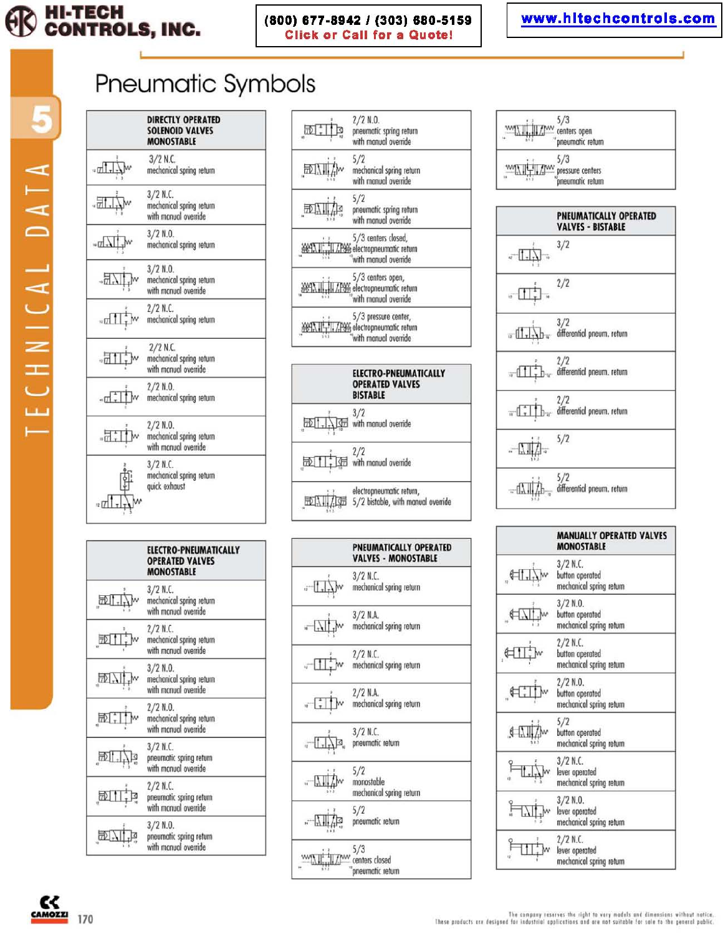

### (800) 677-8942 / (303) 680-5159 **Click or Call for a Quote!**

## www.hitechcontrols.com

Pneumatic Symbols



| <b>ELECTRO-PNEUMATICALLY</b><br><b>OPERATED VALVES</b><br><b>MONOSTABLE</b> |
|-----------------------------------------------------------------------------|
| 3/2 N.C.<br>mechanical spring return<br>with manual override                |
| $2/2$ N.C.<br>mechanical spring return<br>with manual override              |
| $3/2$ N.O.<br>mechanical spring return<br>with manual override              |
| $2/2$ N.O.<br>mechanical spring return<br>with manual override              |
| $3/2$ N.C.<br>pneumatic spring return<br>with manual override               |
| $2/2$ N.C.<br>pneumotic spring return<br>with manual override               |
| $3/2$ N.O.<br>pneumatic spring return<br>with manual override               |



|                      | <b>PNEUMATICALLY OPERATED</b><br><b>VALVES - MONOSTABLE</b> |
|----------------------|-------------------------------------------------------------|
| $-1$                 | $3/2$ N.C.<br>mechanical spring return                      |
| $  \mathbf{L}  $     | $3/2$ N.A.<br>mechanical spring return                      |
| $\sqrt{a}$           | $2/2$ N.C.<br>mechanical spring return                      |
| $\sqrt{\frac{1}{2}}$ | $2/2$ N.A.<br>mechanical spring return                      |
| $-1$                 | $3/2$ N.C.<br>pneumatic return                              |
|                      | 5/2<br>monostable<br>mechanical spring return               |
|                      | 5/2<br>pneumatic return                                     |
|                      | 5/3<br>centers closed<br>pneumatic return                   |

$$
\frac{5/3}{\sqrt{11/11}} = \frac{5/3}{\sqrt{11/111}} = \frac{5/3}{\sqrt{11/111}} = \frac{5/3}{\sqrt{11/111}} = \frac{5/3}{\sqrt{11/111}} = \frac{5/3}{\sqrt{11/111}} = \frac{5}{\sqrt{11/111}} = \frac{5}{\sqrt{11/111}} = \frac{5}{\sqrt{11/111}} = \frac{5}{\sqrt{11/111}} = \frac{5}{\sqrt{11/111}} = \frac{5}{\sqrt{11/111}} = \frac{5}{\sqrt{11/111}} = \frac{5}{\sqrt{11/111}} = \frac{5}{\sqrt{11/111}} = \frac{5}{\sqrt{11/111}} = \frac{5}{\sqrt{11/111}} = \frac{5}{\sqrt{11/111}} = \frac{5}{\sqrt{11/111}} = \frac{5}{\sqrt{11/111}} = \frac{5}{\sqrt{11/111}} = \frac{5}{\sqrt{11/111}} = \frac{5}{\sqrt{11/111}} = \frac{5}{\sqrt{11/111}} = \frac{5}{\sqrt{11/111}} = \frac{5}{\sqrt{11/111}} = \frac{5}{\sqrt{11/111}} = \frac{5}{\sqrt{11/111}} = \frac{5}{\sqrt{11/111}} = \frac{5}{\sqrt{11/111}} = \frac{5}{\sqrt{11/111}} = \frac{5}{\sqrt{11/111}} = \frac{5}{\sqrt{11/111}} = \frac{5}{\sqrt{11/111}} = \frac{5}{\sqrt{11/111}} = \frac{5}{\sqrt{11/111}} = \frac{5}{\sqrt{11/111}} = \frac{5}{\sqrt{11/111}} = \frac{5}{\sqrt{11/111}} = \frac{5}{\sqrt{11/111}} = \frac{5}{\sqrt{11/111}} = \frac{5}{\sqrt{11/111}} = \frac{5}{\sqrt{11/111}} = \frac{5}{\sqrt{11/111}} = \frac{5}{\sqrt{11/111}} = \frac{5}{\sqrt{11/111}} = \frac{5}{\sqrt{11/11
$$



| <b>MANUALLY OPERATED VALVES</b><br><b>MONOSTABLE</b>      |
|-----------------------------------------------------------|
| $3/2$ N.C.<br>button operated<br>mechanical spring return |
| $3/2$ N.O.<br>button operated<br>mechanical spring return |
| $2/2$ N.C.<br>button operated<br>mechanical spring return |
| $2/2$ N.O.<br>button operated<br>mechanical spring return |
| 5/2<br>button operated<br>mechanical spring return        |
| $3/2$ N.C.<br>lever operated<br>mechanical spring return  |
| $3/2$ N.O.<br>lever operated<br>mechanical spring return  |
| $2/2$ N.C.<br>lever operated<br>mechanical spring return  |

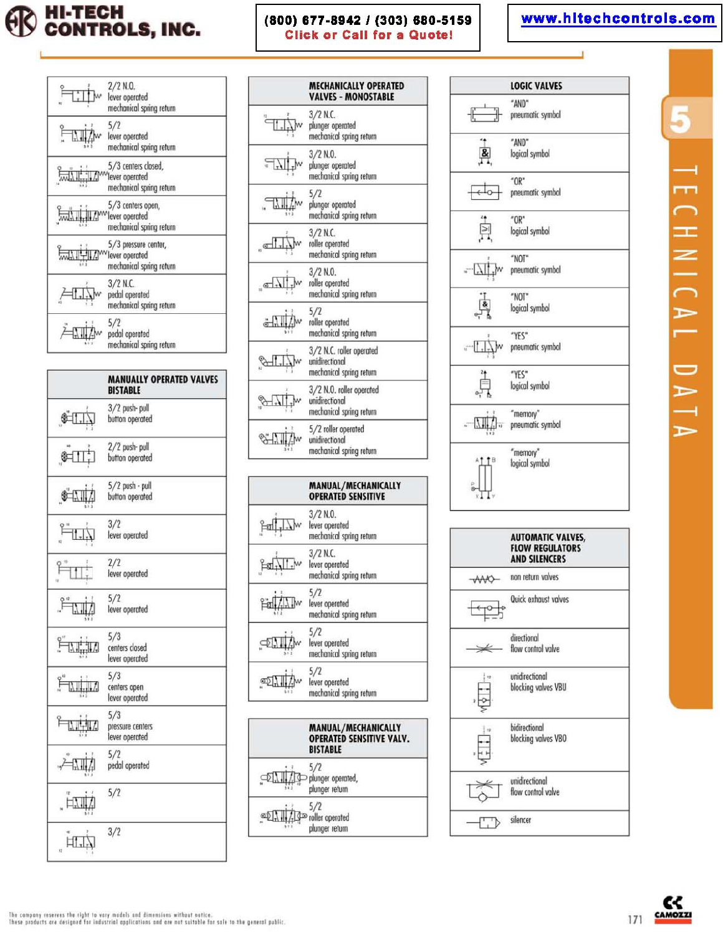

### (800) 677-8942 / (303) 680-5159 **Click or Call for a Quote!**

# www.hitechcontrols.com





|                      | <b>MECHANICALLY OPERATED</b><br><b>VALVES - MONOSTABLE</b>             |
|----------------------|------------------------------------------------------------------------|
| $\exists t$          | $3/2$ N.C.<br>plunger operated<br>mechanical spring return             |
| $\sqrt{\frac{1}{r}}$ | $3/2$ N.O.<br>plunger operated<br>mechanical spring return             |
| $\Box$               | 5/2<br>plunger operated<br>mechanical spring return                    |
|                      | $3/2$ N.C.<br>roller operated<br>mechanical spring return              |
|                      | $3/2$ N.O.<br>roller operated<br>mechanical spring return              |
|                      | 5/2<br>roller operated<br>mechanical spring return                     |
| Q.                   | 3/2 N.C. roller operated<br>unidirectional<br>mechanical spring return |
|                      | 3/2 N.O. roller operated<br>unidirectional<br>mechanical spring return |
|                      | 5/2 roller operated<br>unidirectional<br>mechanical spring return      |
|                      | MANUAL/MECHANICALLY<br><b>OPERATED SENSITIVE</b>                       |
| $\mathbb{F}$         | $3/2$ N.O.<br>lever operated<br>mechanical spring return               |
|                      | $3/2$ N.C.<br>lever operated<br>mechanical spring return               |

|              | mechanical spring return                                 |  |
|--------------|----------------------------------------------------------|--|
|              | $3/2$ N.C.<br>lever operated<br>mechanical spring return |  |
| Fall Alley   | 5/2<br>lever operated<br>mechanical spring return        |  |
| $\mathbb{Q}$ | 5/2<br>lever operated<br>mechanical spring return        |  |
|              | lever operated                                           |  |

| mechanical spring return                                                        |
|---------------------------------------------------------------------------------|
| <b>MANUAL/MECHANICALLY</b><br><b>OPERATED SENSITIVE VALV</b><br><b>BISTABLE</b> |
| $-$                                                                             |

| $\n  Example 2 2D plunger operated,$<br>plunger return |
|--------------------------------------------------------|
|                                                        |

 $5/2$ oller operated plunger return





 $\blacktriangleright$